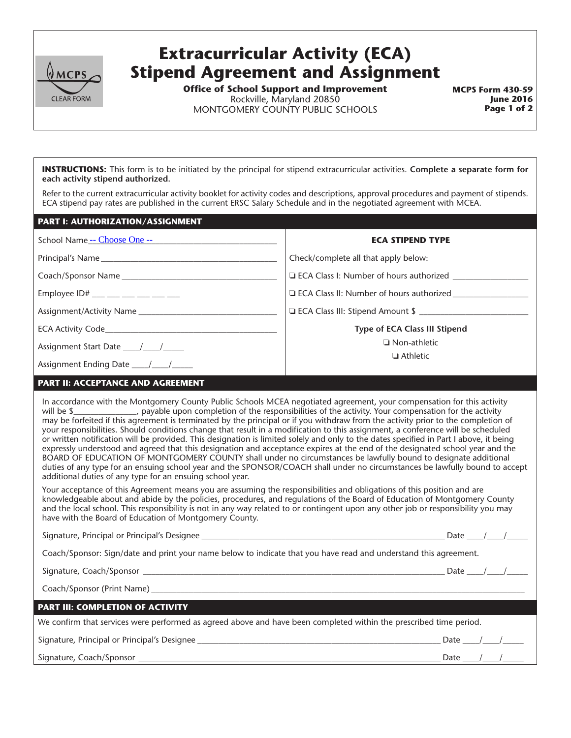

## **Extracurricular Activity (ECA) Stipend Agreement and Assignment**

**Office of School Support and Improvement** Rockville, Maryland 20850 MONTGOMERY COUNTY PUBLIC SCHOOLS

**MCPS Form 430-59 June 2016 Page 1 of 2**

**INSTRUCTIONS:** This form is to be initiated by the principal for stipend extracurricular activities. **Complete a separate form for each activity stipend authorized.**

Refer to the current extracurricular activity booklet for activity codes and descriptions, approval procedures and payment of stipends. ECA stipend pay rates are published in the current ERSC Salary Schedule and in the negotiated agreement with MCEA.

| <b>PART I: AUTHORIZATION/ASSIGNMENT</b> |                                                |
|-----------------------------------------|------------------------------------------------|
| School Name -- Choose One --            | <b>ECA STIPEND TYPE</b>                        |
|                                         | Check/complete all that apply below:           |
|                                         | $\Box$ ECA Class I: Number of hours authorized |
| Employee ID# ___ __ __ __ __ __ __      | □ ECA Class II: Number of hours authorized     |
|                                         |                                                |
|                                         | Type of ECA Class III Stipend                  |
|                                         | $\Box$ Non-athletic<br>$\Box$ Athletic         |
|                                         |                                                |
|                                         |                                                |

## **PART II: ACCEPTANCE AND AGREEMENT**

In accordance with the Montgomery County Public Schools MCEA negotiated agreement, your compensation for this activity will be \$\_\_\_\_\_\_\_\_\_\_\_\_\_, payable upon completion of the responsibilities of the activity. Your compensation for the activity may be forfeited if this agreement is terminated by the principal or if you withdraw from the activity prior to the completion of your responsibilities. Should conditions change that result in a modification to this assignment, a conference will be scheduled or written notification will be provided. This designation is limited solely and only to the dates specified in Part I above, it being expressly understood and agreed that this designation and acceptance expires at the end of the designated school year and the BOARD OF EDUCATION OF MONTGOMERY COUNTY shall under no circumstances be lawfully bound to designate additional duties of any type for an ensuing school year and the SPONSOR/COACH shall under no circumstances be lawfully bound to accept additional duties of any type for an ensuing school year.

Your acceptance of this Agreement means you are assuming the responsibilities and obligations of this position and are knowledgeable about and abide by the policies, procedures, and regulations of the Board of Education of Montgomery County and the local school. This responsibility is not in any way related to or contingent upon any other job or responsibility you may have with the Board of Education of Montgomery County.

Signature, Principal or Principal's Designee \_\_\_\_\_\_\_\_\_\_\_\_\_\_\_\_\_\_\_\_\_\_\_\_\_\_\_\_\_\_\_\_\_\_\_\_\_\_\_\_\_\_\_\_\_\_\_\_\_\_\_\_\_\_\_\_\_\_ Date \_\_\_\_/\_\_\_\_/\_\_\_\_\_

Coach/Sponsor: Sign/date and print your name below to indicate that you have read and understand this agreement.

Signature, Coach/Sponsor \_\_\_\_\_\_\_\_\_\_\_\_\_\_\_\_\_\_\_\_\_\_\_\_\_\_\_\_\_\_\_\_\_\_\_\_\_\_\_\_\_\_\_\_\_\_\_\_\_\_\_\_\_\_\_\_\_\_\_\_\_\_\_\_\_\_\_\_\_\_\_\_ Date \_\_\_\_/\_\_\_\_/\_\_\_\_\_

Coach/Sponsor (Print Name) \_\_

**PART III: COMPLETION OF ACTIVITY**

We confirm that services were performed as agreed above and have been completed within the prescribed time period.

Signature, Principal or Principal's Designee \_\_\_\_\_\_\_\_\_\_\_\_\_\_\_\_\_\_\_\_\_\_\_\_\_\_\_\_\_\_\_\_\_\_\_\_\_\_\_\_\_\_\_\_\_\_\_\_\_\_\_\_\_\_\_\_\_\_ Date \_\_\_\_/\_\_\_\_/\_\_\_\_\_

Signature, Coach/Sponsor \_\_\_\_\_\_\_\_\_\_\_\_\_\_\_\_\_\_\_\_\_\_\_\_\_\_\_\_\_\_\_\_\_\_\_\_\_\_\_\_\_\_\_\_\_\_\_\_\_\_\_\_\_\_\_\_\_\_\_\_\_\_\_\_\_\_\_\_\_\_\_\_ Date \_\_\_\_/\_\_\_\_/\_\_\_\_\_